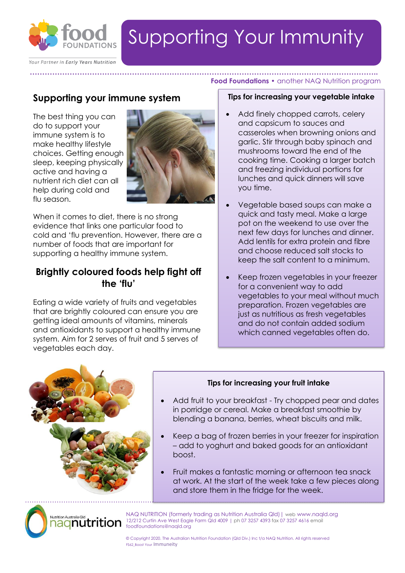

# Supporting Your Immunity

**…………………………………………………………………………………………………………………………..**

Your Partner in Early Years Nutrition

## **Supporting your immune system**

The best thing you can do to support your immune system is to make healthy lifestyle choices. Getting enough sleep, keeping physically active and having a nutrient rich diet can all help during cold and flu season.



When it comes to diet, there is no strong evidence that links one particular food to cold and 'flu prevention. However, there are a number of foods that are important for supporting a healthy immune system.

## **Brightly coloured foods help fight off the 'flu'**

Eating a wide variety of fruits and vegetables that are brightly coloured can ensure you are getting ideal amounts of vitamins, minerals and antioxidants to support a healthy immune system. Aim for 2 serves of fruit and 5 serves of vegetables each day.

#### **Tips for increasing your vegetable intake**

**Food Foundations •** another NAQ Nutrition program

- Add finely chopped carrots, celery and capsicum to sauces and casseroles when browning onions and garlic. Stir through baby spinach and mushrooms toward the end of the cooking time. Cooking a larger batch and freezing individual portions for lunches and quick dinners will save you time.
- Vegetable based soups can make a quick and tasty meal. Make a large pot on the weekend to use over the next few days for lunches and dinner. Add lentils for extra protein and fibre and choose reduced salt stocks to keep the salt content to a minimum.
- Keep frozen vegetables in your freezer for a convenient way to add vegetables to your meal without much preparation. Frozen vegetables are just as nutritious as fresh vegetables and do not contain added sodium which canned vegetables often do.



Nutrition Australia Qld

### **Tips for increasing your fruit intake**

- Add fruit to your breakfast Try chopped pear and dates in porridge or cereal. Make a breakfast smoothie by blending a banana, berries, wheat biscuits and milk.
- Keep a bag of frozen berries in your freezer for inspiration – add to yoghurt and baked goods for an antioxidant boost.
- Fruit makes a fantastic morning or afternoon tea snack at work. At the start of the week take a few pieces along and store them in the fridge for the week.

NAQ NUTRITION (formerly trading as Nutrition Australia Qld)| web www.naqld.org 12/212 Curtin Ave West Eagle Farm Qld 4009 | ph 07 3257 4393 fax 07 3257 4616 email <u>nagnutrition</u> foodfoundations@naqld.org

> © Copyright 2020. The Australian Nutrition Foundation (Qld Div.) Inc t/a NAQ Nutrition. All rights reserved FS62\_Boost Your Immuneity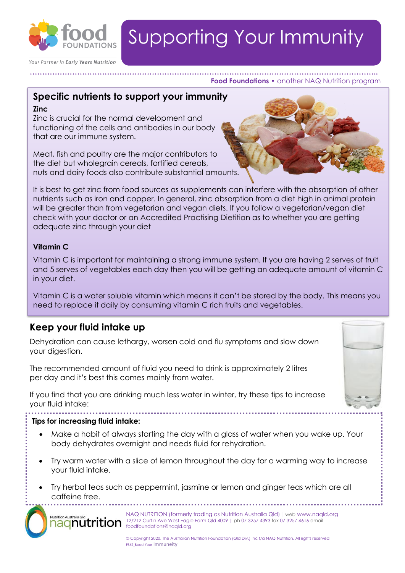

Your Partner in Early Years Nutrition

# Supporting Your Immunity

#### **………………………………………………………………………………………………………………………….. Food Foundations •** another NAQ Nutrition program

### **Specific nutrients to support your immunity**

#### **Zinc**

Zinc is crucial for the normal development and functioning of the cells and antibodies in our body that are our immune system.

Meat, fish and poultry are the major contributors to the diet but wholegrain cereals, fortified cereals, nuts and dairy foods also contribute substantial amounts.

It is best to get zinc from food sources as supplements can interfere with the absorption of other nutrients such as iron and copper. In general, zinc absorption from a diet high in animal protein will be greater than from vegetarian and vegan diets. If you follow a vegetarian/vegan diet check with your doctor or an Accredited Practising Dietitian as to whether you are getting adequate zinc through your diet

### **Vitamin C**

Vitamin C is important for maintaining a strong immune system. If you are having 2 serves of fruit and 5 serves of vegetables each day then you will be getting an adequate amount of vitamin C in your diet.

Vitamin C is a water soluble vitamin which means it can't be stored by the body. This means you need to replace it daily by consuming vitamin C rich fruits and vegetables.

## **Keep your fluid intake up**

Dehydration can cause lethargy, worsen cold and flu symptoms and slow down your digestion.

The recommended amount of fluid you need to drink is approximately 2 litres per day and it's best this comes mainly from water.

If you find that you are drinking much less water in winter, try these tips to increase your fluid intake:



#### **Tips for increasing fluid intake:**

Nutrition Australia Qlo

- Make a habit of always starting the day with a glass of water when you wake up. Your body dehydrates overnight and needs fluid for rehydration.
- Try warm water with a slice of lemon throughout the day for a warming way to increase your fluid intake.
- ………………………………………………………………………………………………………………………………................ • Try herbal teas such as peppermint, jasmine or lemon and ginger teas which are all caffeine free.

NAQ NUTRITION (formerly trading as Nutrition Australia Qld)| web www.naqld.org <u>aqnutrition</u> 12/212 Curtin Ave West Eagle Farm Qld 4009 | ph 07 3257 4393 fax 07 3257 4616 email foodfoundations@naqld.org

> © Copyright 2020. The Australian Nutrition Foundation (Qld Div.) Inc t/a NAQ Nutrition. All rights reserved FS62\_Boost Your Immuneity